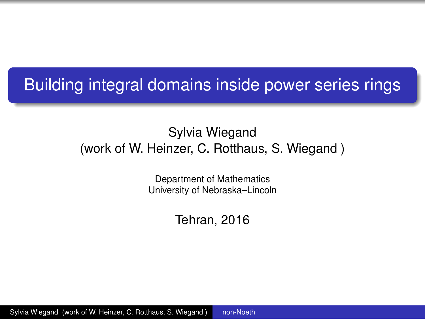### <span id="page-0-0"></span>Building integral domains inside power series rings

### Sylvia Wiegand (work of W. Heinzer, C. Rotthaus, S. Wiegand )

Department of Mathematics University of Nebraska–Lincoln

Tehran, 2016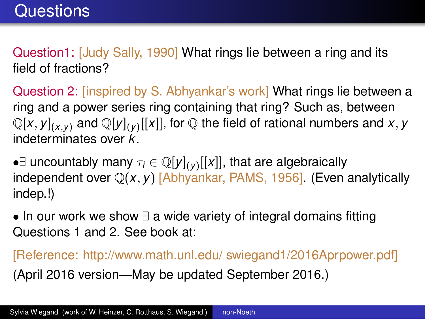Question1: [Judy Sally, 1990] What rings lie between a ring and its field of fractions?

Question 2: [inspired by S. Abhyankar's work] What rings lie between a ring and a power series ring containing that ring? Such as, between  $\mathbb{Q}[x,y]_{(x,y)}$  and  $\mathbb{Q}[y]_{(y)}[[x]],$  for  $\mathbb Q$  the field of rational numbers and  $x,y$ indeterminates over *k*.

*•∃* uncountably many *τ<sup>i</sup> ∈* Q[*y*](*y*) [[*x*]], that are algebraically independent over Q(*x, y*) [Abhyankar, PAMS, 1956]. (Even analytically indep.!)

*•* In our work we show *∃* a wide variety of integral domains fitting Questions 1 and 2. See book at:

[Reference: http://www.math.unl.edu/ swiegand1/2016Aprpower.pdf] (April 2016 version—May be updated September 2016.)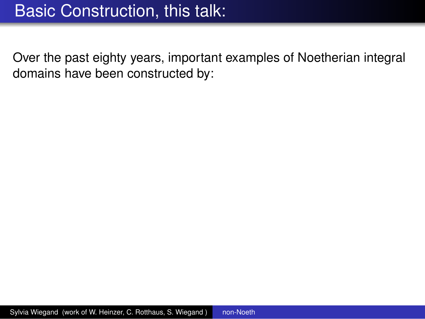Over the past eighty years, important examples of Noetherian integral domains have been constructed by: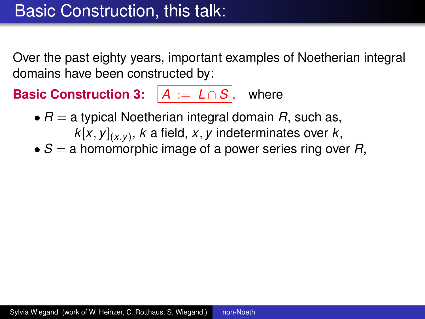Over the past eighty years, important examples of Noetherian integral domains have been constructed by:

### **Basic Construction 3:**  $|A| := L \cap S$ , where

- *• R* = a typical Noetherian integral domain *R*, such as, *k*[*x, y*](*x,y*) , *k* a field, *x, y* indeterminates over *k*,
- *• S* = a homomorphic image of a power series ring over *R*,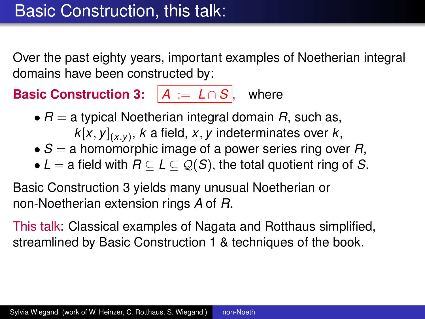Over the past eighty years, important examples of Noetherian integral domains have been constructed by:

### **Basic Construction 3:**  $|A| := L \cap S$ , where

- *• R* = a typical Noetherian integral domain *R*, such as,
	- *k*[*x, y*](*x,y*) , *k* a field, *x, y* indeterminates over *k*,
- *• S* = a homomorphic image of a power series ring over *R*,
- *• L* = a field with *R ⊆ L ⊆ Q*(*S*)*,* the total quotient ring of *S*.

Basic Construction 3 yields many unusual Noetherian or non-Noetherian extension rings *A* of *R*.

This talk: Classical examples of Nagata and Rotthaus simplified, streamlined by Basic Construction 1 & techniques of the book.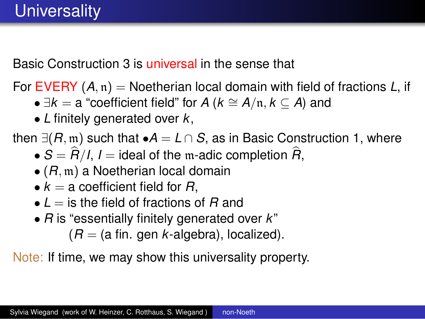Basic Construction 3 is universal in the sense that

For EVERY (*A,* n) = Noetherian local domain with field of fractions *L*, if

- *∃k* = a "coefficient field" for *A* (*k ∼*= *A/*n*, k ⊆ A*) and
- *• L* finitely generated over *k*,

then  $∃(R,m)$  such that  $•A = L ∩ S$ , as in Basic Construction 1, where

- $S = R/I$ , *I* = ideal of the m-adic completion *R*,
- *•* (*R,* m) a Noetherian local domain
- $k = a$  coefficient field for  $R$ ,
- *• L* = is the field of fractions of *R* and
- *• R* is "essentially finitely generated over *k*"

 $(R = (a \text{ fin. gen } k\text{-algebra}),$  localized).

Note: If time, we may show this universality property.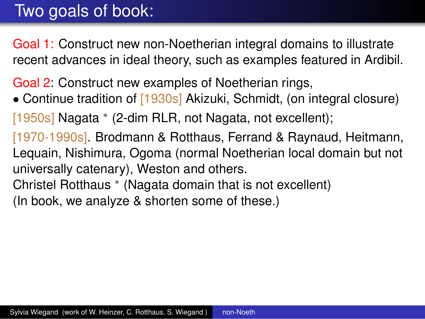## Two goals of book:

Goal 1: Construct new non-Noetherian integral domains to illustrate recent advances in ideal theory, such as examples featured in Ardibil.

Goal 2: Construct new examples of Noetherian rings,

• Continue tradition of [1930s] Akizuki, Schmidt, (on integral closure)

[1950s] Nagata *∗* (2-dim RLR, not Nagata, not excellent);

- [1970-1990s]. Brodmann & Rotthaus, Ferrand & Raynaud, Heitmann, Lequain, Nishimura, Ogoma (normal Noetherian local domain but not universally catenary), Weston and others.
- Christel Rotthaus *∗* (Nagata domain that is not excellent) (In book, we analyze & shorten some of these.)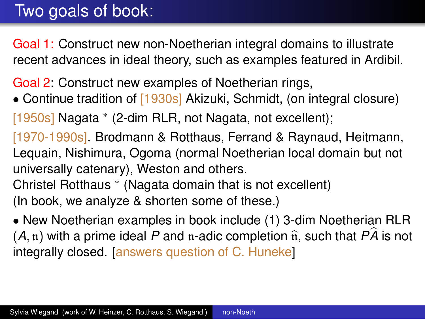## Two goals of book:

Goal 1: Construct new non-Noetherian integral domains to illustrate recent advances in ideal theory, such as examples featured in Ardibil.

Goal 2: Construct new examples of Noetherian rings,

• Continue tradition of [1930s] Akizuki, Schmidt, (on integral closure)

[1950s] Nagata *∗* (2-dim RLR, not Nagata, not excellent);

[1970-1990s]. Brodmann & Rotthaus, Ferrand & Raynaud, Heitmann, Lequain, Nishimura, Ogoma (normal Noetherian local domain but not universally catenary), Weston and others.

Christel Rotthaus *∗* (Nagata domain that is not excellent) (In book, we analyze & shorten some of these.)

*•* New Noetherian examples in book include (1) 3-dim Noetherian RLR  $(A, n)$  with a prime ideal P and n-adic completion  $\hat{n}$ , such that  $P\hat{A}$  is not integrally closed. [answers question of C. Huneke]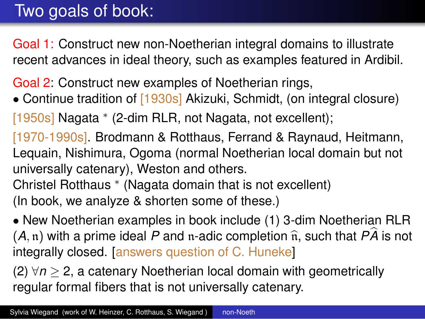# Two goals of book:

Goal 1: Construct new non-Noetherian integral domains to illustrate recent advances in ideal theory, such as examples featured in Ardibil.

Goal 2: Construct new examples of Noetherian rings,

• Continue tradition of [1930s] Akizuki, Schmidt, (on integral closure)

[1950s] Nagata *∗* (2-dim RLR, not Nagata, not excellent);

[1970-1990s]. Brodmann & Rotthaus, Ferrand & Raynaud, Heitmann, Lequain, Nishimura, Ogoma (normal Noetherian local domain but not universally catenary), Weston and others.

Christel Rotthaus *∗* (Nagata domain that is not excellent) (In book, we analyze & shorten some of these.)

*•* New Noetherian examples in book include (1) 3-dim Noetherian RLR  $(A, n)$  with a prime ideal P and n-adic completion  $\hat{n}$ , such that  $P\hat{A}$  is not integrally closed. [answers question of C. Huneke]

(2) *∀n ≥* 2, a catenary Noetherian local domain with geometrically regular formal fibers that is not universally catenary.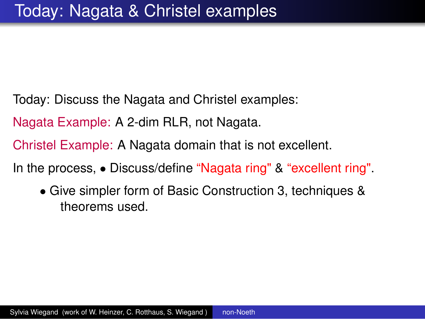- Today: Discuss the Nagata and Christel examples:
- Nagata Example: A 2-dim RLR, not Nagata.
- Christel Example: A Nagata domain that is not excellent.
- In the process, *•* Discuss/define "Nagata ring" & "excellent ring".
	- *•* Give simpler form of Basic Construction 3, techniques & theorems used.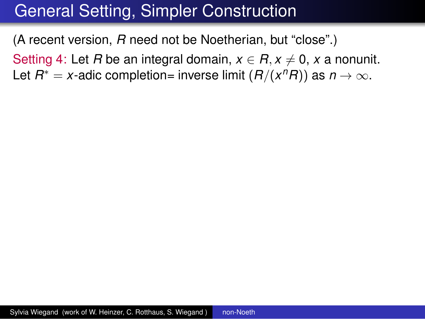(A recent version, *R* need not be Noetherian, but "close".)

Setting 4: Let *R* be an integral domain,  $x \in R$ ,  $x \neq 0$ , x a nonunit. Let  $R^* = x$ -adic completion= inverse limit  $(R/(x^nR))$  as  $n \to \infty$ .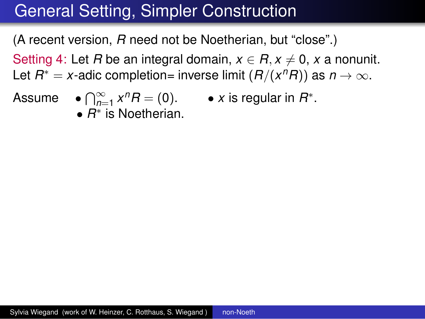(A recent version, *R* need not be Noetherian, but "close".)

Setting 4: Let *R* be an integral domain,  $x \in R$ ,  $x \neq 0$ , x a nonunit. Let  $R^* = x$ -adic completion= inverse limit  $(R/(x^nR))$  as  $n \to \infty$ .

- 
- Assume  $\bullet \bigcap_{n=1}^{\infty} x^n R = (0). \bullet x$  is regular in  $R^*$ .
	- *• R ∗* is Noetherian.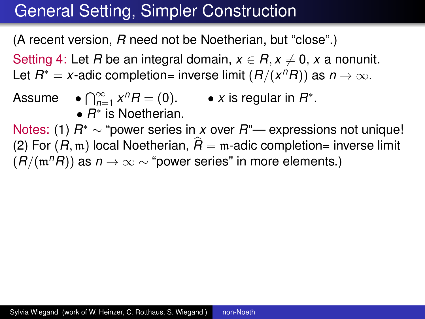(A recent version, *R* need not be Noetherian, but "close".)

Setting 4: Let *R* be an integral domain,  $x \in R$ ,  $x \neq 0$ , x a nonunit.

Let  $R^* = x$ -adic completion= inverse limit  $(R/(x^nR))$  as  $n \to \infty$ .

Assume  $\bullet \bigcap_{n=1}^{\infty} x^n R = (0). \bullet x$  is regular in  $R^*$ . *• R ∗* is Noetherian.

Notes: (1) *R ∗ ∼* "power series in *x* over *R*"— expressions not unique! (2) For  $(R, m)$  local Noetherian,  $\hat{R} = m$ -adic completion= inverse limit  $(R/(m^nR))$  as  $n \to \infty$  ~ "power series" in more elements.)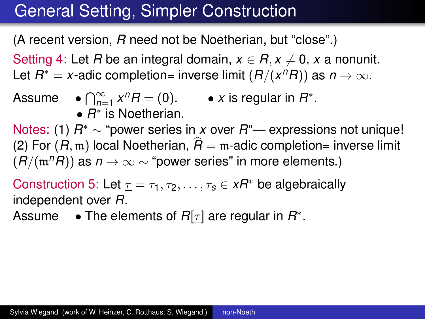(A recent version, *R* need not be Noetherian, but "close".)

Setting 4: Let *R* be an integral domain,  $x \in R$ ,  $x \neq 0$ , x a nonunit.

Let  $R^* = x$ -adic completion= inverse limit  $(R/(x^nR))$  as  $n \to \infty$ .

Assume  $\bullet \bigcap_{n=1}^{\infty} x^n R = (0). \bullet x$  is regular in  $R^*$ . *• R ∗* is Noetherian.

Notes: (1) *R ∗ ∼* "power series in *x* over *R*"— expressions not unique! (2) For  $(R, m)$  local Noetherian,  $\hat{R} = m$ -adic completion= inverse limit  $(R/(m^nR))$  as  $n \to \infty$  ~ "power series" in more elements.)

Construction 5: Let  $\underline{\tau} = \tau_1, \tau_2, \ldots, \tau_s \in xR^*$  be algebraically independent over *R*.

Assume *•* The elements of *R*[*τ* ] are regular in *R ∗* .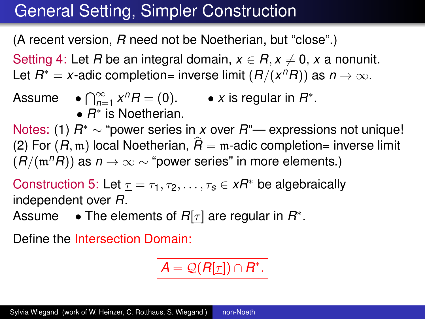(A recent version, *R* need not be Noetherian, but "close".)

Setting 4: Let *R* be an integral domain,  $x \in R$ ,  $x \neq 0$ , x a nonunit.

Let  $R^* = x$ -adic completion= inverse limit  $(R/(x^nR))$  as  $n \to \infty$ .

Assume 
$$
\bullet \bigcap_{n=1}^{\infty} x^n R = (0).
$$
  $\bullet$  x is regular in  $R^*$ .  $\bullet$   $R^*$  is Noetherian.

Notes: (1) *R ∗ ∼* "power series in *x* over *R*"— expressions not unique! (2) For  $(R, m)$  local Noetherian,  $\hat{R} = m$ -adic completion= inverse limit  $(R/(m^nR))$  as  $n \to \infty$  ~ "power series" in more elements.)

Construction 5: Let  $\underline{\tau} = \tau_1, \tau_2, \ldots, \tau_s \in xR^*$  be algebraically independent over *R*.

Assume *•* The elements of *R*[*τ* ] are regular in *R ∗* .

Define the Intersection Domain:

$$
A=\mathcal{Q}(R[\underline{\tau}])\cap R^*.
$$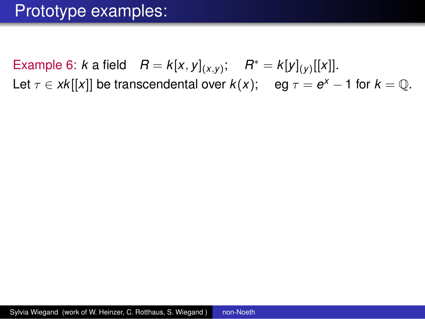### Prototype examples:

Example 6: *k* a field  $R = k[x, y]_{(x,y)};$   $R^* = k[y]_{(y)}[[x]].$ Let  $\tau \in xk[[x]]$  be transcendental over  $k(x)$ ; eg  $\tau = e^x - 1$  for  $k = \mathbb{Q}$ .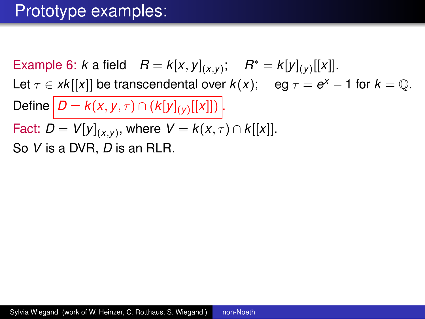### Prototype examples:

Example 6: *k* a field  $R = k[x, y]_{(x,y)};$   $R^* = k[y]_{(y)}[[x]].$ Let  $\tau \in xk[[x]]$  be transcendental over  $k(x)$ ; eg  $\tau = e^x - 1$  for  $k = \mathbb{Q}$ .  $\mathsf{Define} \, | \, D = k(x,y,\tau) \cap (k[y]_{(y)}[[x]])|.$  $\textsf{Fact: } D = V[y]_{(x,y)},$  where  $V = k(x,\tau) \cap k[[x]].$ So *V* is a DVR, *D* is an RLR.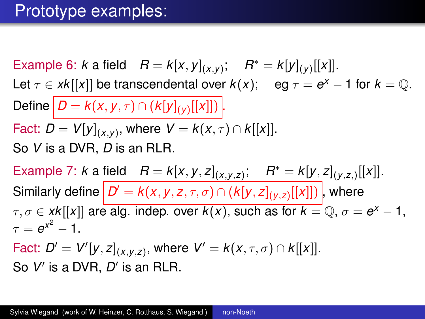### Prototype examples:

Example 6: *k* a field  $R = k[x, y]_{(x,y)};$   $R^* = k[y]_{(y)}[[x]].$ Let  $\tau \in xk[[x]]$  be transcendental over  $k(x)$ ; eg  $\tau = e^x - 1$  for  $k = \mathbb{Q}$ .  $\mathsf{Define} \, | \, D = k(x,y,\tau) \cap (k[y]_{(y)}[[x]])|.$  $\textsf{Fact: } D = V[y]_{(x,y)},$  where  $V = k(x,\tau) \cap k[[x]].$ So *V* is a DVR, *D* is an RLR. Example 7: k a field  $B = k[x, y, z]_{(x, y, z)}$ ;  $B^* = k[y, z]_{(y, z)}[[x]]$ .  $\mathsf{Similarly}$  define  $|\mathcal{D}'=k(x,y,z,\tau,\sigma)\cap (k[y,z]_{(y,z)}[[x]])|,$  where  $\tau,\sigma\in$  *xk*[[*x*]] are alg. indep. over  $k(x)$ , such as for  $k=\mathbb{Q},$   $\sigma=\boldsymbol{e}^{\chi}-1,$  $\tau = e^{x^2} - 1.$  $\mathsf{Fact:}\ D' = V'[y,z]_{(x,y,z)},\ \text{where}\ \ V' = k(x,\tau,\sigma) \cap k[[x]].$ So *V ′* is a DVR, *D ′* is an RLR.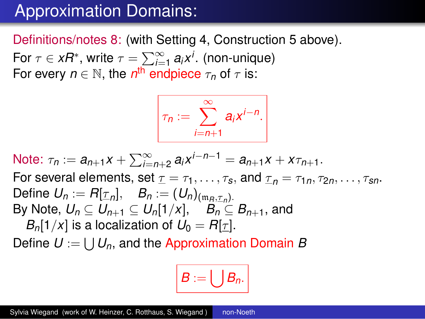## Approximation Domains:

Definitions/notes 8: (with Setting 4, Construction 5 above).

For  $\tau \in xR^*$ , write  $\tau = \sum_{i=1}^{\infty} a_i x^i$ . (non-unique) For every  $n \in \mathbb{N}$ , the  $n^{\text{th}}$  endpiece  $\tau_n$  of  $\tau$  is:

$$
\boxed{\tau_n := \sum_{i=n+1}^{\infty} a_i x^{i-n}}.
$$

Note:  $\tau_n := a_{n+1}x + \sum_{i=n+2}^{\infty} a_i x^{i-n-1} = a_{n+1}x + x\tau_{n+1}$ . For several elements, set  $\underline{\tau} = \tau_1, \ldots, \tau_s$ , and  $\underline{\tau}_n = \tau_{1n}, \tau_{2n}, \ldots, \tau_{sn}$ .  $\mathsf{Define}\ \mathsf{U}_n:=\mathsf{R}[\underline{\tau}_n],\quad \mathsf{B}_n:=(\mathsf{U}_n)_{(\mathfrak{m}_R,\underline{\tau}_n)}.$ By Note,  $U_n \subset U_{n+1} \subset U_n[1/x], \quad B_n \subset B_{n+1}$ , and *B*<sub>n</sub>[1/*x*] is a localization of  $U_0 = R[\tau]$ .

Define *U* := ∪ *Un*, and the Approximation Domain *B*

$$
B:=\bigcup B_n.
$$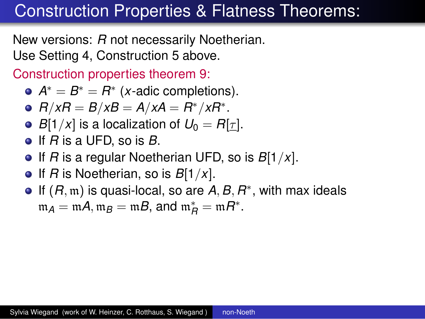### Construction Properties & Flatness Theorems:

New versions: *R* not necessarily Noetherian. Use Setting 4, Construction 5 above.

Construction properties theorem 9:

- $A^* = B^* = R^*$  (*x*-adic completions).
- *R/xR* = *B/xB* = *A/xA* = *R ∗/xR∗* .
- *B*[1/*x*] is a localization of  $U_0 = R[\tau]$ .
- If *R* is a UFD, so is *B*.
- If *R* is a regular Noetherian UFD, so is *B*[1*/x*].
- If *R* is Noetherian, so is  $B[1/x]$ .
- If (*R,* m) is quasi-local, so are *A, B, R ∗* , with max ideals  $m_A = mA$ ,  $m_B = mB$ , and  $m_B^* = mR^*$ .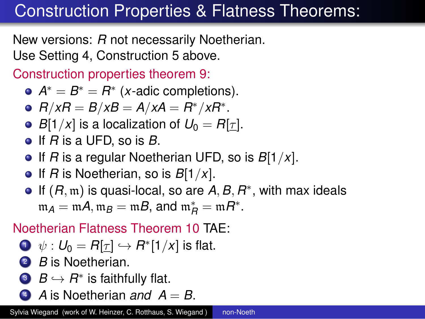# Construction Properties & Flatness Theorems:

New versions: *R* not necessarily Noetherian. Use Setting 4, Construction 5 above.

Construction properties theorem 9:

- $A^* = B^* = R^*$  (*x*-adic completions).
- *R/xR* = *B/xB* = *A/xA* = *R ∗/xR∗* .
- *B*[1/*x*] is a localization of  $U_0 = R[\tau]$ .
- If *R* is a UFD, so is *B*.
- If *R* is a regular Noetherian UFD, so is *B*[1*/x*].
- If *R* is Noetherian, so is *B*[1*/x*].
- If (*R,* m) is quasi-local, so are *A, B, R ∗* , with max ideals  $m_A = mA$ ,  $m_B = mB$ , and  $m_B^* = mR^*$ .

### Noetherian Flatness Theorem 10 TAE:

$$
\bullet \ \psi: U_0 = R[\underline{\tau}] \hookrightarrow R^*[1/x] \text{ is flat.}
$$

- <sup>2</sup> *B* is Noetherian.
- **3**  $B \hookrightarrow B^*$  is faithfully flat.
- $\triangle$  *A* is Noetherian *and*  $A = B$ .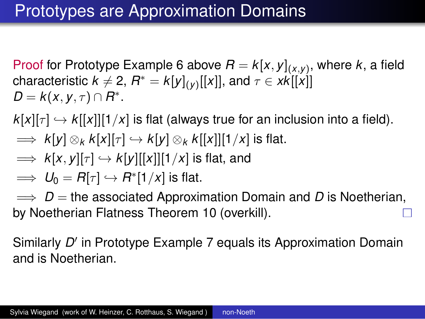Proof for Prototype Example 6 above  $R = k[x,y]_{(x,y)}$ , where  $k$ , a field  $\textsf{characteristic } k \neq 2, \, R^* = k[y]_{(y)}[[x]], \, \textsf{and } \tau \in x k[[x]]$  $D = k(x, y, \tau) \cap R^*$ .

 $k[x][\tau] \hookrightarrow k[[x]][1/x]$  is flat (always true for an inclusion into a field).

- $\implies$   $k[y] \otimes_k k[x][\tau] \hookrightarrow k[y] \otimes_k k[[x]][1/x]$  is flat.
- $\implies$   $k[x, y][\tau] \hookrightarrow k[y][[x]][1/x]$  is flat, and
- $\implies U_0 = R[\tau] \hookrightarrow R^*[1/x]$  is flat.

=*⇒ D* = the associated Approximation Domain and *D* is Noetherian, by Noetherian Flatness Theorem 10 (overkill).

Similarly *D ′* in Prototype Example 7 equals its Approximation Domain and is Noetherian.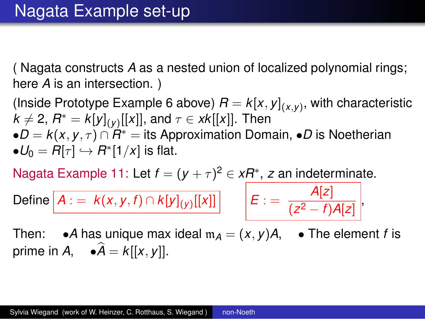( Nagata constructs *A* as a nested union of localized polynomial rings; here *A* is an intersection. )

(Inside Prototype Example 6 above)  $R = k[x,y]_{(x,y)},$  with characteristic  $k \neq 2$ ,  $R^* = k[y]_{(y)}[[x]],$  and  $\tau \in xk[[x]].$  Then *•D* = *k*(*x, y, τ* ) *∩ R ∗* = its Approximation Domain, *•D* is Noetherian  $\bullet U_0 = R[\tau] \hookrightarrow R^*[1/x]$  is flat.

Nagata Example 11: Let  $f = (y + \tau)^2 \in xR^*$ , *z* an indeterminate.

 $\mathsf{Define} \big\vert A := k(x,y,f) \cap k[y]_{(y)}[[x]] \big\vert \qquad \big\vert E :=$ 

*A*[*z*]  $\frac{(-1)^{r-1}}{(z^2-f)A[z]}$ 

Then:  $\bullet$ *A* has unique max ideal  $m_A = (x, y)A$ ,  $\bullet$  The element *f* is prime in *A*,  $\bullet \widehat{A} = k[[x, y]].$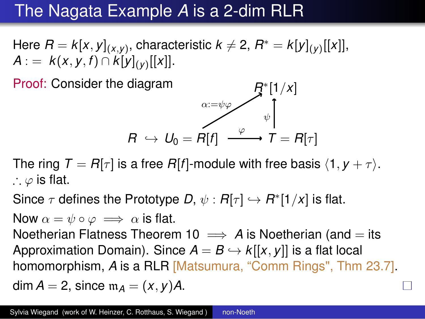# The Nagata Example *A* is a 2-dim RLR

Here  $R = k[x,y]_{(x,y)}$ , characteristic  $k \neq 2,$   $R^* = k[y]_{(y)}[[x]],$ *A* : =  $k(x, y, f)$  ∩  $k[y]_{(y)}[[x]]$ .

Proof: Consider the diagram

diagram

\n
$$
R \leftrightarrow U_0 = R[f] \xrightarrow{\varphi} \mathcal{F}^*[1/x]
$$
\n
$$
R \leftrightarrow U_0 = R[f] \xrightarrow{\varphi} T = R[\tau]
$$

The ring  $T = R[\tau]$  is a free  $R[f]$ -module with free basis  $\langle 1, y + \tau \rangle$ . ∴ *φ* is flat.

Since  $\tau$  defines the Prototype *D*,  $\psi: R[\tau] \hookrightarrow R^*[1/x]$  is flat.

Now  $\alpha = \psi \circ \varphi \implies \alpha$  is flat.

Noetherian Flatness Theorem 10  $\implies$  A is Noetherian (and  $=$  its Approximation Domain). Since  $A = B \hookrightarrow k[[x, y]]$  is a flat local homomorphism, *A* is a RLR [Matsumura, "Comm Rings", Thm 23.7]. dim  $A = 2$ , since  $m_A = (x, y)A$ .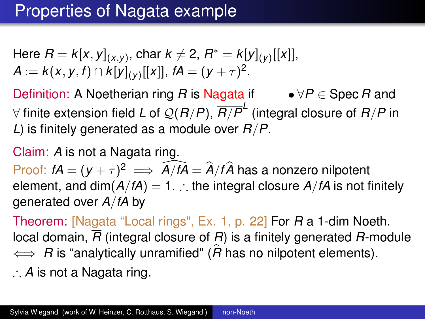## Properties of Nagata example

Here 
$$
R = k[x, y]_{(x,y)}
$$
,  $char\ k \neq 2$ ,  $R^* = k[y]_{(y)}[[x]]$ ,  $A := k(x, y, f) \cap k[y]_{(y)}[[x]]$ ,  $fA = (y + \tau)^2$ .

Definition: A Noetherian ring *R* is Nagata if *• ∀P ∈* Spec *R* and *∀* finite extension field *L* of *Q*(*R/P*), *R/P L* (integral closure of *R/P* in *L*) is finitely generated as a module over *R/P*.

#### Claim: *A* is not a Nagata ring.

Proof:  $fA = (y + \tau)^2 \implies \hat{A}/f\hat{A} = \hat{A}/f\hat{A}$  has a nonzero nilpotent element, and dim( $A/fA$ ) = 1. ∴ the integral closure  $\overline{A/fA}$  is not finitely generated over *A/fA* by

Theorem: [Nagata "Local rings", Ex. 1, p. 22] For *R* a 1-dim Noeth. local domain, *R* (integral closure of *R*) is a finitely generated *R*-module  $\iff$  *R* is "analytically unramified" ( $\hat{R}$  has no nilpotent elements).

∴ *A* is not a Nagata ring.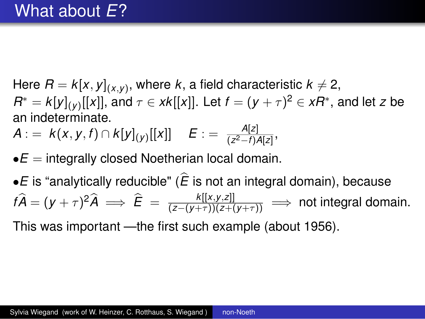Here  $R = k[x,y]_{(x,y)}$ , where  $k$ , a field characteristic  $k \neq 2$ ,  $R^* = k[y]_{(y)}[[x]],$  and  $\tau \in xk[[x]].$  Let  $f = (y + \tau)^2 \in xR^* ,$  and let *z* be an indeterminate.

$$
A := k(x, y, f) \cap k[y]_{(y)}[[x]] \quad E := \frac{A[z]}{(z^2 - f)A[z]},
$$

 $\bullet E =$  integrally closed Noetherian local domain.

 $\bullet$  *E* is "analytically reducible" ( $\hat{E}$  is not an integral domain), because  $f\hat{A} = (y + \tau)^2 \hat{A} \implies \hat{E} = \frac{k[[x,y,z]]}{(z-(y+\tau))(z+(y+\tau))} \implies$  not integral domain.

This was important —the first such example (about 1956).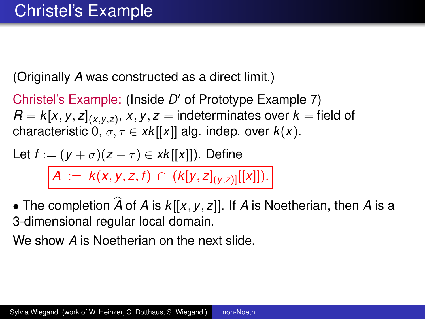(Originally *A* was constructed as a direct limit.)

Christel's Example: (Inside *D ′* of Prototype Example 7)  $\mathcal{R} = \mathcal{k}[x,y,z]_{(x,y,z)},\, x,y,z = \text{indeterminates over } k = \text{field of } k$ characteristic  $0, \sigma, \tau \in xk[[x]]$  alg. indep. over  $k(x)$ .

Let 
$$
f := (y + \sigma)(z + \tau) \in xk[[x]]
$$
. Define  
\n
$$
A := k(x, y, z, f) \cap (k[y, z]_{(y, z)][[x]]).
$$

• The completion  $\widehat{A}$  of  $A$  is  $k[[x, y, z]]$ . If  $A$  is Noetherian, then  $A$  is a 3-dimensional regular local domain.

We show *A* is Noetherian on the next slide.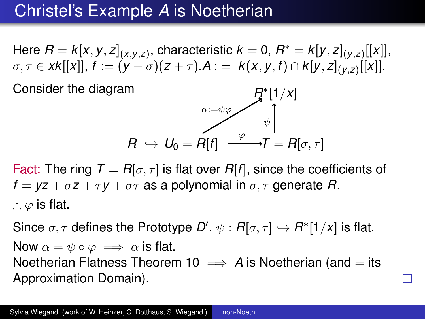## Christel's Example *A* is Noetherian

Here  $R = k[x,y,z]_{(x,y,z)}$ , characteristic  $k=0,$   $R^* = k[y,z]_{(y,z)}[[x]],$  $\sigma,\tau\in xk[[x]], f:=(y+\sigma)(z+\tau).A:= k(x,y,f)\cap k[y,z]_{(y,z)}[[x]].$ 

Consider the diagram

$$
R \leftrightarrow U_0 = R[f] \xrightarrow{\alpha := \psi \varphi} \mathcal{F}^{*}[1/x]
$$
\n
$$
R \leftrightarrow U_0 = R[f] \xrightarrow{\varphi} \mathcal{T} = R[\sigma, \tau]
$$

Fact: The ring  $T = R[\sigma, \tau]$  is flat over  $R[f]$ , since the coefficients of  $f = yz + \sigma z + \tau y + \sigma \tau$  as a polynomial in  $\sigma, \tau$  generate *R*. ∴ *φ* is flat.

Since  $\sigma,\tau$  defines the Prototype  $D',\,\psi: R[\sigma,\tau] \hookrightarrow R^*[1/x]$  is flat. Now  $\alpha = \psi \circ \varphi \implies \alpha$  is flat. Noetherian Flatness Theorem 10  $\implies$  A is Noetherian (and  $=$  its Approximation Domain).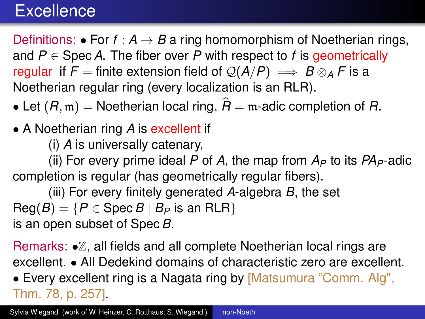### **Excellence**

Definitions: • For  $f : A \rightarrow B$  a ring homomorphism of Noetherian rings, and  $P \in$  Spec A. The fiber over P with respect to f is geometrically regular if  $F =$  finite extension field of  $Q(A/P) \implies B \otimes_A F$  is a Noetherian regular ring (every localization is an RLR).

- Let  $(R, m)$  = Noetherian local ring,  $\hat{R}$  = m-adic completion of *R*.
- *•* A Noetherian ring *A* is excellent if

(i) *A* is universally catenary,

(ii) For every prime ideal P of A, the map from  $A_P$  to its  $PA_P$ -adic completion is regular (has geometrically regular fibers).

(iii) For every finitely generated *A*-algebra *B*, the set  $\text{Reg}(B) = \{P \in \text{Spec } B \mid B_P \text{ is an RLR}\}$ is an open subset of Spec *B*.

Remarks: *•*Z, all fields and all complete Noetherian local rings are excellent. *•* All Dedekind domains of characteristic zero are excellent.

*•* Every excellent ring is a Nagata ring by [Matsumura "Comm. Alg", Thm. 78, p. 257].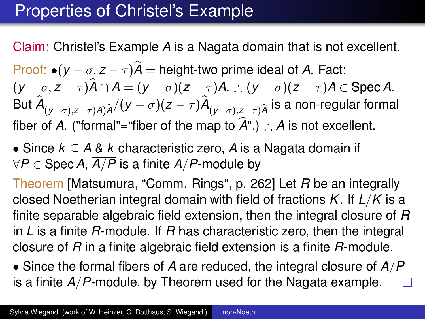## Properties of Christel's Example

Claim: Christel's Example *A* is a Nagata domain that is not excellent.

Proof: *•*(*y − σ, z − τ* )*A*b = height-two prime ideal of *A*. Fact:  $(y - \sigma, z - \tau)\widehat{A} \cap A = (y - \sigma)(z - \tau)A$ . :  $(y - \sigma)(z - \tau)A \in \text{Spec } A$ . But  $A_{(y-\sigma),z-\tau)A)\widehat{A}}/(y-\sigma)(z-\tau)A_{(y-\sigma),z-\tau)\widehat{A}}$  is a non-regular formal fiber of *A*. ("formal"="fiber of the map to  $\hat{A}$ ".) ∴ *A* is not excellent.

*•* Since *k ⊆ A* & *k* characteristic zero, *A* is a Nagata domain if *∀P ∈* Spec*A*, *A/P* is a finite *A/P*-module by

Theorem [Matsumura, "Comm. Rings", p. 262] Let *R* be an integrally closed Noetherian integral domain with field of fractions *K*. If *L/K* is a finite separable algebraic field extension, then the integral closure of *R* in *L* is a finite *R*-module. If *R* has characteristic zero, then the integral closure of *R* in a finite algebraic field extension is a finite *R*-module.

*•* Since the formal fibers of *A* are reduced, the integral closure of *A/P* is a finite *A/P*-module, by Theorem used for the Nagata example.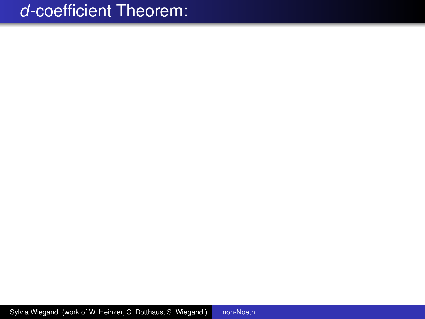Sylvia Wiegand (work of W. Heinzer, C. Rotthaus, S. Wiegand ) [non-Noeth](#page-0-0)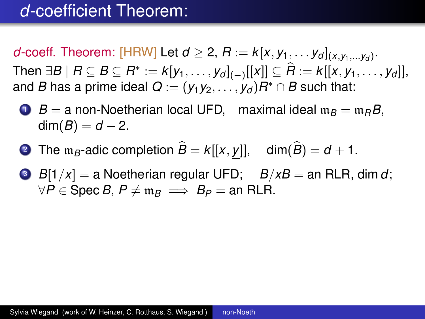*d*-coeff. Theorem: [HRW] Let  $d \geq 2$ ,  $R := k[x, y_1, \ldots y_d]_{(x, y_1, \ldots, y_d)}$ . Then  $\exists B \mid B \subseteq B \subseteq R^* := k[y_1, \ldots, y_d]_{(-)}[[x]] \subseteq R := k[[x, y_1, \ldots, y_d]],$ and *B* has a prime ideal  $\boldsymbol{Q}:=(\mathsf{y}_{1}\mathsf{y}_{2},\ldots,\mathsf{y}_{d})R^{*}\cap B$  such that:

 $\bullet$  *B* = a non-Noetherian local UFD, maximal ideal  $m_B = m_B B$ ,  $dim(B) = d + 2.$ 

- 2 The  $m_B$ -adic completion  $\hat{B} = k[[x, y]]$ , dim $(\hat{B}) = d + 1$ .
- $\bullet$  *B*[1/*x*] = a Noetherian regular UFD; *B*/*xB* = an RLR, dim *d*; *∀P*  $\in$  Spec *B*,  $P \neq m_B$   $\implies$  *B<sub>P</sub>* = an RLR.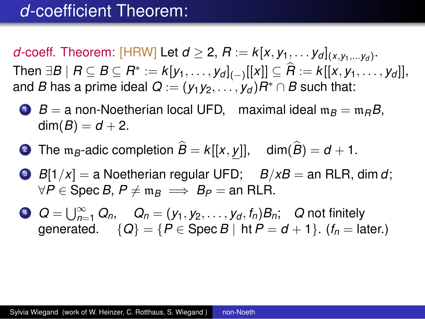*d*-coeff. Theorem: [HRW] Let  $d \geq 2$ ,  $R := k[x, y_1, \ldots y_d]_{(x, y_1, \ldots, y_d)}$ . Then  $\exists B \mid B \subseteq B \subseteq R^* := k[y_1, \ldots, y_d]_{(-)}[[x]] \subseteq R := k[[x, y_1, \ldots, y_d]],$ and *B* has a prime ideal  $\boldsymbol{Q}:=(\mathsf{y}_{1}\mathsf{y}_{2},\ldots,\mathsf{y}_{d})R^{*}\cap B$  such that:

 $\bullet$  *B* = a non-Noetherian local UFD, maximal ideal  $m_B = m_B B$ ,  $dim(B) = d + 2.$ 

- **2** The m<sub>B</sub>-adic completion  $\hat{B} = k[[x, y]]$ , dim $(\hat{B}) = d + 1$ .
- $\bullet$  *B*[1/*x*] = a Noetherian regular UFD; *B*/*xB* = an RLR, dim *d*; *∀P*  $\in$  Spec *B*,  $P \neq m_B$   $\implies$  *B<sub>P</sub>* = an RLR.
- $Q = \bigcup_{n=1}^{\infty} Q_n$ ,  $Q_n = (y_1, y_2, \ldots, y_d, f_n)B_n$ ; Q not finitely generated.  $\{Q\} = \{P \in \text{Spec } B \mid \text{ht } P = d + 1\}.$  ( $f_n = \text{later.}$ )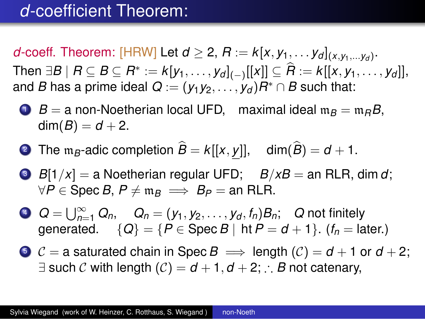*d*-coeff. Theorem: [HRW] Let  $d \geq 2$ ,  $R := k[x, y_1, \ldots y_d]_{(x, y_1, \ldots, y_d)}$ . Then  $\exists B \mid B \subseteq B \subseteq R^* := k[y_1, \ldots, y_d]_{(-)}[[x]] \subseteq R := k[[x, y_1, \ldots, y_d]],$ and *B* has a prime ideal  $\boldsymbol{Q}:=(\mathsf{y}_{1}\mathsf{y}_{2},\ldots,\mathsf{y}_{d})R^{*}\cap B$  such that:

 $\bullet$  *B* = a non-Noetherian local UFD, maximal ideal  $m_B = m_B B$ ,  $dim(B) = d + 2.$ 

- 2 The  $m_B$ -adic completion  $\hat{B} = k[[x, y]]$ , dim $(\hat{B}) = d + 1$ .
- $\bullet$  *B*[1/*x*] = a Noetherian regular UFD; *B*/*xB* = an RLR, dim *d*; *∀P*  $\in$  Spec *B*,  $P \neq m_B$   $\implies$  *B<sub>P</sub>* = an RLR.
- $Q = \bigcup_{n=1}^{\infty} Q_n$ ,  $Q_n = (y_1, y_2, \ldots, y_d, f_n)B_n$ ; Q not finitely generated.  $\{Q\} = \{P \in \text{Spec } B \mid \text{ht } P = d + 1\}.$  ( $f_n = \text{later.}$ )
- **5**  $\mathcal{C}$  = a saturated chain in Spec *B*  $\implies$  length ( $\mathcal{C}$ ) = *d* + 1 or *d* + 2; *∃* such *C* with length (*C*) = *d* + 1*, d* + 2; ∴ *B* not catenary,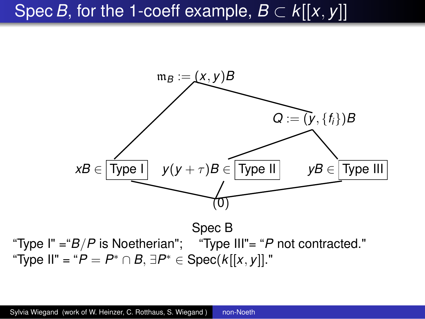### Spec *B*, for the 1-coeff example,  $B \subset k[[x, y]]$



"Type I" ="*B/P* is Noetherian"; "Type III"= "*P* not contracted." "Type II" = "*P* = *P ∗ ∩ B, ∃P ∗ ∈* Spec(*k*[[*x, y*]]."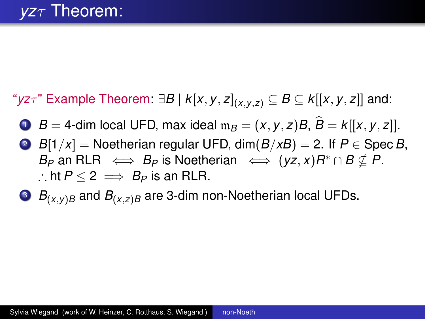" $yz\tau$ " Example Theorem:  $\exists B \mid k[x, y, z]_{(x,y,z)} \subseteq B \subseteq k[[x, y, z]]$  and:

 $\bullet$  *B* = 4-dim local UFD, max ideal  $m_B = (x, y, z)B$ ,  $\hat{B} = k[[x, y, z]]$ .

- 2 *B*[1/*x*] = Noetherian regular UFD, dim( $B/xB$ ) = 2. If  $P \in$  Spec *B*,  $B_P$  an  $\mathsf{RLR} \iff B_P$  is Noetherian  $\iff (yz,x)R^*\cap B\nsubseteq P.$ ∴ ht  $P < 2$   $\implies$   $B_P$  is an RLR.
- $\bullet$  *B*<sub>(*x, y*)*B* and *B*<sub>(*x, z*)*B* are 3-dim non-Noetherian local UFDs.</sub></sub>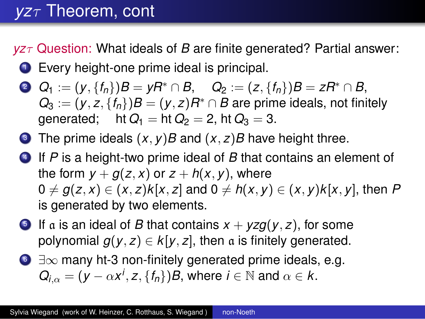# *yzτ* Theorem, cont

*yzτ* Question: What ideals of *B* are finite generated? Partial answer:

- **1** Every height-one prime ideal is principal.
- 2  $Q_1 := (y, \{f_n\})B = yR^* \cap B$ ,  $Q_2 := (z, \{f_n\})B = zR^* \cap B$ ,  $Q_3 := (y, z, \{f_n\})B = (y, z)R^* \cap B$  are prime ideals, not finitely generated: ht  $Q_1 =$  ht  $Q_2 = 2$ , ht  $Q_3 = 3$ .
- **3** The prime ideals  $(x, y)B$  and  $(x, z)B$  have height three.
- <sup>4</sup> If *P* is a height-two prime ideal of *B* that contains an element of the form  $y + g(z, x)$  or  $z + h(x, y)$ , where  $0 \neq g(z, x) \in (x, z)k[x, z]$  and  $0 \neq h(x, y) \in (x, y)k[x, y]$ , then P is generated by two elements.
- **5** If a is an ideal of *B* that contains  $x + yzg(y, z)$ , for some polynomial  $g(y, z) \in k[y, z]$ , then a is finitely generated.
- <sup>6</sup> *∃∞* many ht-3 non-finitely generated prime ideals, e.g.  $Q_{i,\alpha} = (y - \alpha x^i, z, \{f_n\})$ *B*, where  $i \in \mathbb{N}$  and  $\alpha \in k$ .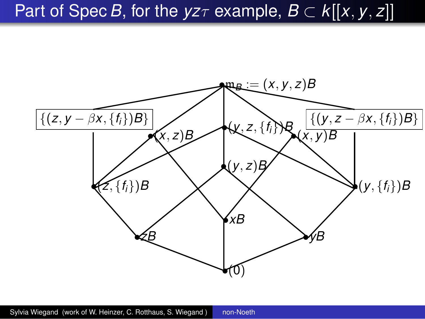# Part of Spec *B*, for the  $yz\tau$  example,  $B \subset k[[x, y, z]]$